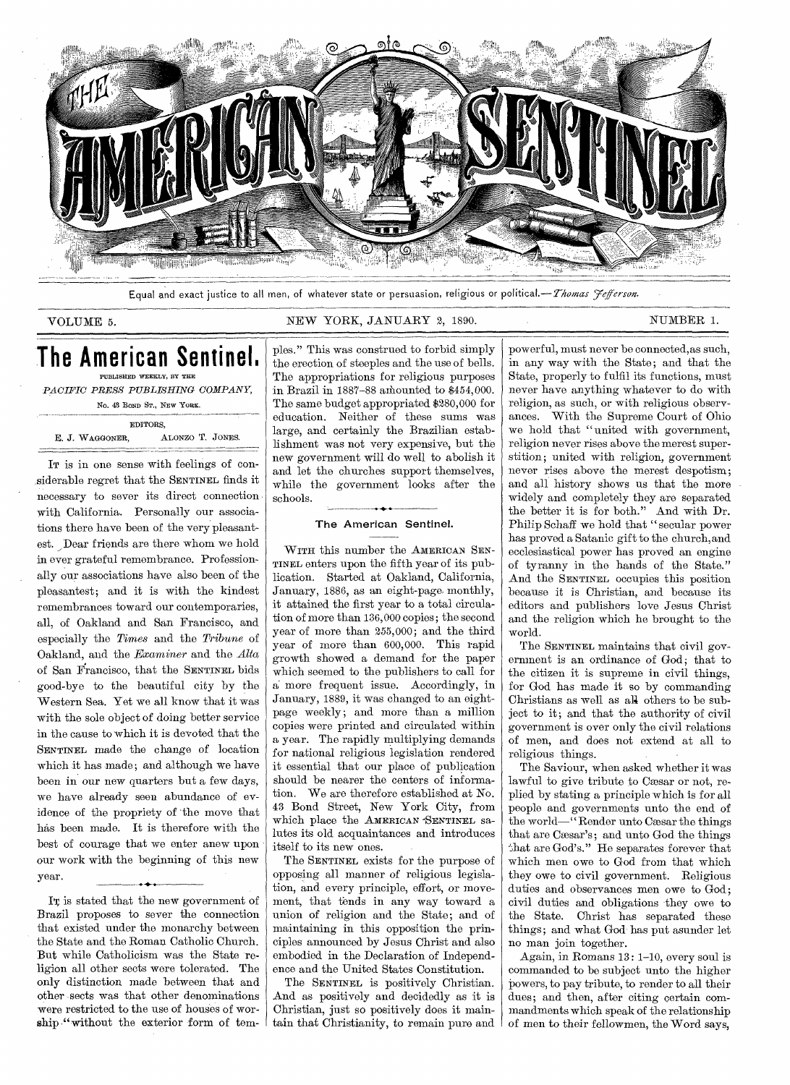

Equal and exact justice to all men, of whatever state or persuasion, religious or *political.—Thomas yeferson.* 

## VOLUME 5. NEW YORK, JANUARY 2, 1890. NUMBER 1.

# **The American Sentinel,**  PUBLISHED WEEKLY, BY THE

*PACIFIC PRESS PUBLISHING COMPANY, No.* 48 BOND ST., NEW YORK.

EDITORS, E. J. WAGGONER, ALONZO T. JONES.

IT is in one sense with feelings of considerable regret that the SENTINEL finds it necessary to sever its direct connection with California. Personally our associations there have been of the very pleasantest. Dear friends are there whom we hold in ever grateful remembrance. Professionally our associations have also been of the pleasantest; and it is with the kindest remembrances toward our contemporaries, all, of Oakland and San Francisco, and especially the *Times* and the *Tribune* of Oakland, and the *Examiner* and the *Alta*  of San Francisco, that the SENTINEL bids good-bye to the beautiful city by the Western Sea. Yet we all know that it was with the sole object of doing better service in the cause to which it is devoted that the SENTINEL made the change of location which it has made; and although we have been in our new quarters but a few days, we have already seen abundance of evidence of the propriety of 'the move that has been made. It is therefore with the best of courage that we enter anew upon our work with the beginning of this new year.

In is stated that the new government of Brazil proposes to sever the connection that existed under the monarchy between the State and the Roman. Catholic Church. But while Catholicism was the State religion all other sects were tolerated. The only distinction made between that and other sects was that other denominations were restricted to the use of houses of worship "without the exterior form of tem-

ples." This was construed to forbid simply the erection of steeples and the use of bells. The appropriations for religious purposes in Brazil in 1887-88 amounted to \$454,000. The same budget appropriated \$280,000 for education. Neither of these sums was large, and certainly the Brazilian establishment was not very expensive, but the new government will do well to abolish it and let the churches support themselves, while the government looks after the schools.

## The American Sentinel.

WITH this number the AMERICAN SEN-TINEL enters upon the fifth year of its publication. Started at Oakland, California, January, 1886, as an eight-page, monthly, it attained the first year to a total circulation of more than 136,000 copies; the second year of more than 255,000; and the third year of more than 600,000. This rapid growth showed a demand for the paper which seemed to the publishers to call for a more frequent issue. Accordingly, in January, 1889, it was changed to an eightpage weekly; and more than a million copies were printed and circulated within a year. The rapidly multiplying demands for national religious legislation rendered it essential that our place of publication should be nearer the centers of information. We are therefore established at No. 43 Bond Street, New York City, from which place the AMERICAN -SENTINEL salutes its old acquaintances and introduces itself to its new ones.

The SENTINEL exists for the purpose of opposing all manner of religious legislation, and every principle, effort, or movement, that tends in any way toward a union of religion and the State; and of maintaining in this opposition the principles announced by Jesus Christ and also embodied in the Declaration of Independence and the United States Constitution.

The SENTINEL is positively Christian. And as positively and decidedly as it is Christian, just so positively does it maintain that Christianity, to remain pure and powerful, must never be connected,as such, in any way with the State; and that the State, properly to fulfil its functions, must never have anything whatever to do with religion, as such, or with religious observances. With the Supreme Court of Ohio we hold that "united with government, religion never rises above the merest superstition; united with religion, government never rises above the merest despotism; and all history shows us that the more widely and completely they are separated the better it is for both." And with Dr. Philip Schaff we hold that "secular power has proved a Satanic gift to the church, and ecclesiastical power has proved an engine of tyranny in the hands of the State," And the SENTINEL occupies this position because it is Christian, and because its editors and publishers love Jesus Christ and the religion which he brought to the world.

The SENTINEL maintains that civil government is an ordinance of God; that to the citizen it is supreme in civil things, for God has made it so by commanding Christians as well as al4 others to be subject to it; and that the authority of civil government is over only the civil relations of men, and does not extend at all to religious things.

The Saviour, when asked whether it was lawful to give tribute to Cæsar or not, replied by stating a principle which is for all people and governments unto the end of the world—"Render unto Cæsar the things that are Cæsar's; and unto God the things that are God's." He separates forever that which men owe to God from that which they owe to civil government. Religious duties and observances men owe to God; civil duties and obligations they owe to the State. Christ has separated these things; and what God has put asunder let no man join together.

Again, in Romans 13: 1-10, every soul is commanded to be subject unto the higher powers, to pay tribute, to render to all their dues; and then, after citing certain commandments which speak of the relationship of men to their fellowmen, the Word says,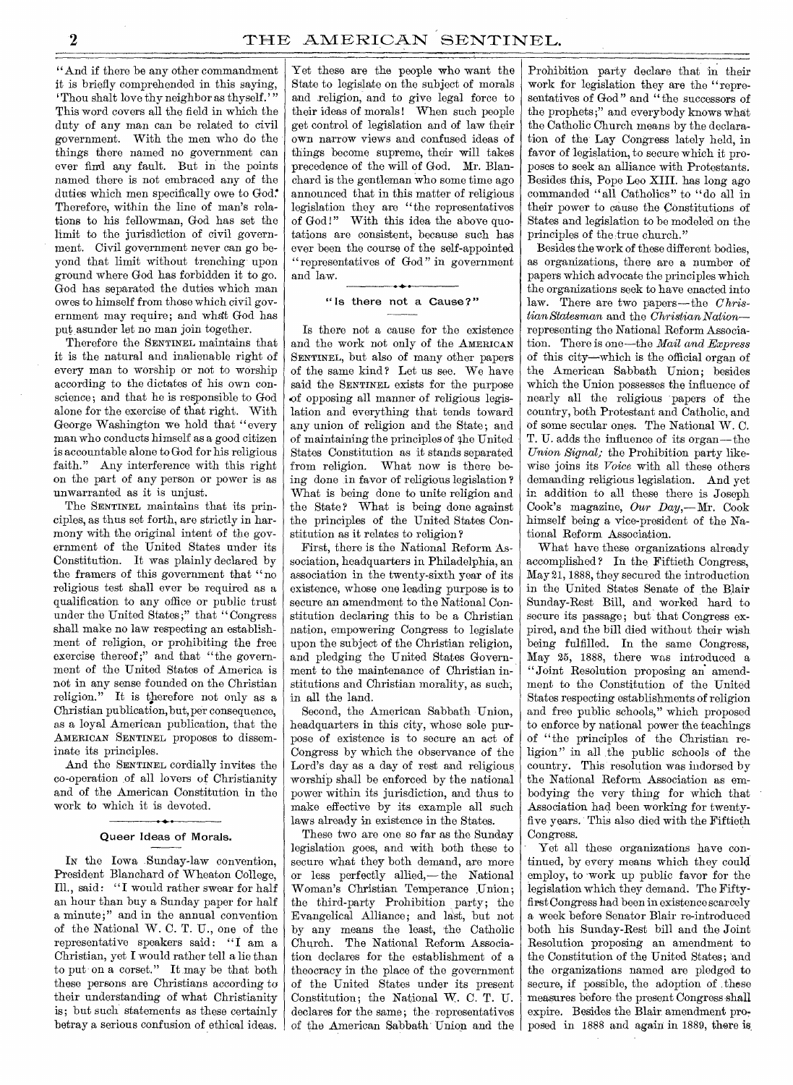"And if there be any other commandment it is briefly comprehended in this saying, 'Thou shalt love thy neighbor as thyself.'" This word covers all the field in which the duty of any man can be related to civil government. With the men who do the things there named no government can ever find any fault. But in the points named there is not embraced any of the duties which men specifically owe to God. Therefore, within the line of man's relations to his fellowman, God has set the limit to the jurisdiction of civil government. Civil government never can go beyond that limit without trenching upon ground where God has forbidden it to go. God has separated the duties which man owes to himself from those which civil government may require; and what God has put asunder let no man join together.

Therefore the SENTINEL maintains that it is the natural and inalienable right of every man to worship or not to worship according to the dictates of his own conscience; and that he is responsible to God alone for the exercise of that right. With George Washington we hold that "every man who conducts himself as a good citizen is accountable alone to God for his religious faith." Any interference with this right on the part of any person or power is as unwarranted as it is unjust.

The SENTINEL maintains that its principles, as thus set forth, are strictly in harmony with the original intent of the government of the United States under its Constitution. It was plainly declared by the framers of this government that "no religious test shall ever be required as a qualification to any office or public trust under the United States ;" that "Congress shall make no law respecting an establishment of religion, or prohibiting the free exercise thereof;" and that "the government of the United States of America is not in any sense founded on the Christian religion." It is therefore not only as a Christian publication, but, per consequence, as a loyal American publication, that the AMERICAN SENTINEL proposes to disseminate its principles.

And the SENTINEL cordially invites the co-operation of all lovers of Christianity and of the American Constitution in the work to which it is devoted.

### • 1.-• Queer Ideas of Morals.

IN the Iowa Sunday-law convention, President Blanchard of Wheaton College, Ill., said: "I would rather swear for half an hour than buy a Sunday paper for half a minute;" and in the annual convention of the National W. C. T. U., one of the representative speakers said: "I am a Christian, yet I would rather tell a lie than to put on a corset." It may be that both these persons are Christians according to their understanding of what Christianity is; but such statements as these certainly betray a serious confusion of ethical ideas.

Yet these are the people who want the State to legislate on the subject of morals and religion, and to give legal force to their ideas of morals ! When such people get control of legislation and of law their own narrow views and confused ideas of things become supreme, their will takes precedence of the will of God. Mr. Blanchard is the gentleman who some time ago announced that in this matter of religious legislation they are "the representatives of God!" With this idea the above quotations are consistent, because such has ever been the course of the self-appointed "representatives of God" in government and law.

#### "Is there not a Cause?"

Is there not a cause for the existence and the work not only of the AMERICAN SENTINEL, but also of many other papers of the same kind? Let us see. We have said the SENTINEL exists for the purpose .of opposing all manner of religious legislation and everything that tends toward any union of religion and the State ; and of maintaining the principles of the United States Constitution as it stands separated from religion. What now is there being done in favor of religious legislation ? What is being done to unite religion and the State ? What is being done against the principles of the United States Constitution as it relates to religion ?

First, there is the National Reform Association, headquarters in Philadelphia, an association in the twenty-sixth year of its existence, whose one leading purpose is to secure an amendment to the National Constitution declaring this to be a Christian nation, empowering Congress to legislate upon the subject of the Christian religion, and pledging the United States Government to the maintenance of Christian institutions and Christian morality, as such, in all the land.

Second, the American Sabbath Union, headquarters in this city, whose sole purpose of existence is to secure an act of Congress by which the observance of the Lord's day as a day of rest and religious worship shall be enforced by the national power within its jurisdiction, and thus to make effective by its example all such laws already in existence in the States.

These two are one so far as the Sunday legislation goes, and with both these to secure what they both demand, are more or less perfectly allied,—the National Woman's Christian Temperance Union; the third-party Prohibition party; the Evangelical Alliance; and last, but not by any means the least, the Catholic Church. The National Reform Association declares for the establishment of a theocracy in the place of the government of the United States under its present Constitution; the National W. C. T. U. declares for the same; the representatives of the American Sabbath Union and the

Prohibition party declare that in their work for legislation they are the "representatives of God" and "the successors of the prophets;" and everybody knows what the Catholic Church means by the declaration of the Lay Congress lately held, in favor of legislation, to secure which it proposes to seek an alliance with Protestants. Besides this, Pope Leo XIII. has long ago commanded "all Catholics" to "do all in their power to cause the Constitutions of States and legislation to be modeled on the principles of the true church."

Besides the work of these different bodies, as organizations, there are a number of papers which advocate the principles which the organizations seek to have enacted into law. There are two papers—the *Christian Statesman* and the *Christian Nation* representing the National Reform Association. There is one—the *Mail and Express*  of this city—which is the official organ of the American Sabbath Union; besides which the Union possesses the influence of nearly all the religious papers of the country, both Protestant and Catholic, and of some secular ones. The National W. C. T. U. adds the influence of its organ—the *Union Signal;* the Prohibition party likewise joins its *Voice* with all these others demanding religious legislation. And yet in addition to all these there is Joseph Cook's magazine, *Our* Day,—Mr. Cook himself being a vice-president of the National Reform Association.

What have these organizations already accomplished ? In the Fiftieth Congress, May 21, 1888, they secured the introduction in the United States Senate of the Blair Sunday-Rest Bill, and worked hard to secure its passage; but that Congress expired, and the bill died without their wish being fulfilled. In the same Congress, May 25, 1888, there was introduced a "Joint Resolution proposing an amendment to the Constitution of the United States respecting establishments of religion and free public schools," which proposed to enforce by national power the teachings of "the principles of the Christian religion" in all the public schools of the country. This resolution was indorsed by the National Reform Association as embodying the very thing for which that Association had been working for twentyfive years. This also died with the Fiftieth Congress.

Yet all these organizations have continued, by every means which they could employ, to work up public favor for the legislation which they demand. The Fiftyfirst Congress had been in existence scarcely a week before Senator Blair re-introduced both his Sunday-Rest bill and the Joint Resolution proposing an amendment to the Constitution of the United States; and the organizations named are pledged to secure, if possible, the adoption of these measures before the present Congress shall expire. Besides the Blair amendment proposed in 1888 and again in 1889, there is,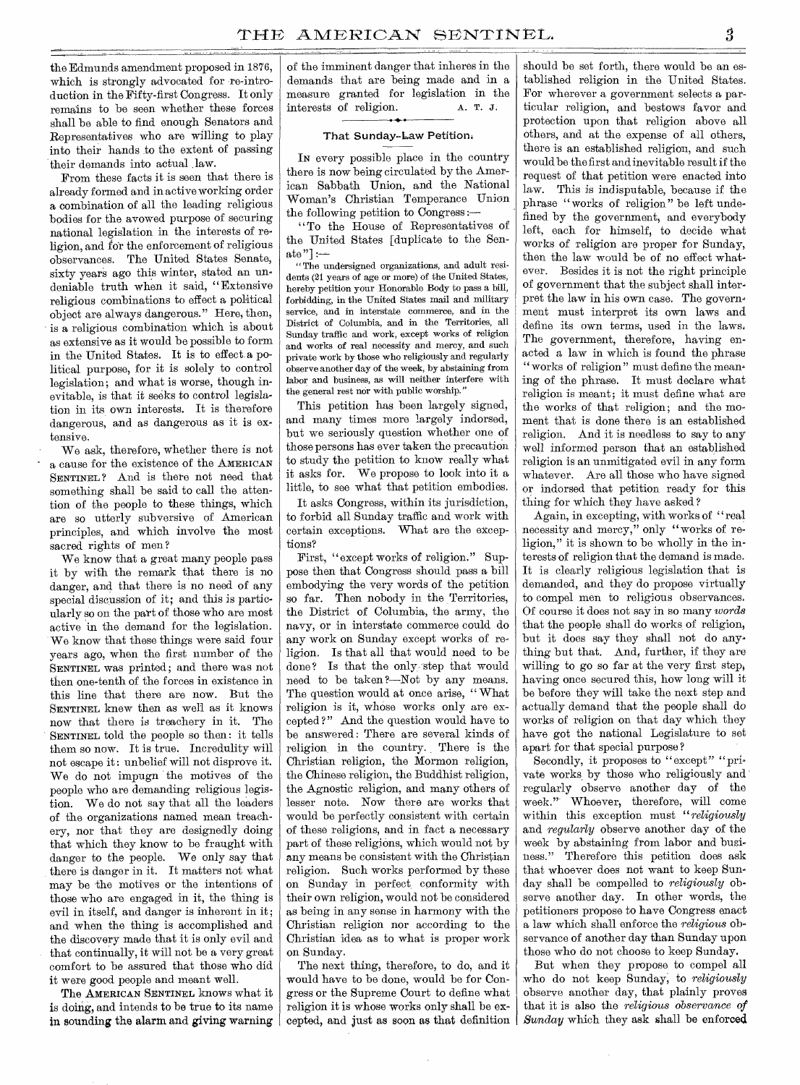the Edmunds amendment proposed in 1876, which is strongly advocated for re-introduction in the Fifty-first Congress. It only remains to be seen whether these forces shall be able to find enough Senators and Representatives who are willing to play into their hands to the extent of passing their demands into actual law.

From these facts it is seen that there is already formed and in active working order a combination of all the leading religious bodies for the avowed purpose of securing national legislation in the interests of religion, and for the enforcement of religious observances. The United States Senate, sixty years ago this winter, stated an undeniable truth when it said, "Extensive religious combinations to effect a political object are always dangerous." Here, then, is a religious combination which is about as extensive as it would be possible to form in the United States. It is to effect a political purpose, for it is solely to control legislation; and what is worse, though inevitable, is that it seeks to control legislation in its own interests. It is therefore dangerous, and as dangerous as it is extensive.

We ask, therefore, whether there is not a cause for the existence of the AMERICAN SENTINEL ? And is there not need that something shall be said to call the attention of the people to these things, which are so utterly subversive of American principles, and which involve the most sacred rights of men ?

We know that a great many people pass it by with the remark that there is no danger, and that there is no need of any special discussion of it; and this is particularly so on the part of those who are most active in the demand for the legislation. We know that these things were said four years ago, when the first number of the SENTINEL was printed; and there was not then one-tenth of the forces in existence in this line that there are now. But the SENTINEL knew then as well as it knows now that there is treachery in it. The SENTINEL told the people so then : it tells them so now. It is true. Incredulity will not escape it : unbelief will not disprove it. We do not impugn the motives of the people who are demanding religious legistion. We do not say that all the leaders of the organizations named mean treachery, nor that they are designedly doing that which they know to be fraught with danger to the people. We only say that there is danger in it. It matters not what may be the motives or the intentions of those who are engaged in it, the thing is evil in itself, and danger is inherent in it; and when the thing is accomplished and the discovery made that it is only evil and that continually, it will not be a very great comfort to be assured that those who did it were good people and meant well.

The AMERICAN SENTINEL knows what it is doirig, and intends to be true to its name in sounding the alarm and *giving* warning of the imminent danger that inheres in the demands that are being made and in a measure granted for legislation in the interests of religion. A. T. J. interests of religion.

#### That Sunday-Law Petition.

IN every possible place in the country there is now being circulated by the American Sabbath Union, and the National Woman's Christian Temperance Union the following petition to Congress

"To the House of Representatives of the United States [duplicate to the Sen $ate "] :=$ 

" The undersigned organizations, and adult residents (21 years of age or more) of the United States, hereby petition your Honorable Body to pass a bill, forbidding, in the United States mail and military service, and in interstate commerce, and in the District of Columbia, and in the Territories, all Sunday traffic and work, except works of religion and works of real necessity and mercy, and such private work by those who religiously and regularly observe another day of the week, by abstaining from labor and business, as will neither interfere with the general rest nor with public worship."

This petition has been largely signed, and many times more largely indorsed, but we seriously question whether one of those persons has ever taken the precaution to study the petition to know really what it asks for. We propose to look into it a little, to see what that petition embodies.

It asks Congress, within its jurisdiction, to forbid all Sunday traffic and work with certain exceptions. What are the exceptions?

First, "except works of religion." Suppose then that Congress should pass a bill embodying the very words of the petition so far. Then nobody in the Territories, the District of Columbia, the army, the navy, or in interstate commerce could do any work on Sunday except works of religion. Is that all that would need to be done? Is that the only step that would need to be taken ?—Not by any means. The question would at once arise, "What religion is it, whose works only are excepted ?" And the question would have to be answered : There are several kinds of religion, in the country. There is the Christian religion, the Mormon religion, the Chinese religion, the Buddhist religion, the Agnostic religion, and many others of lesser note. Now there are works that would be perfectly consistent with certain of these religions, and in fact a necessary part of these religions, which would not by any means be consistent with the Christian religion. Such works performed by these on Sunday in perfect, conformity with their own religion, would not be considered as being in any sense in harmony with the Christian religion nor according to the Christian idea as to what is proper work on Sunday.

The next thing, therefore, to do, and it would have to be done, would be for Congress or the Supreme Court to define what religion it is whose works only shall be excepted, and just as soon as that definition

should be set forth, there would be an established religion in the United States. For wherever a government selects a particular religion, and bestows favor and protection upon that religion above all others, and at the expense of all others, there is an established religion, and such would be the first and inevitable result if the request of that petition were enacted into law. This is indisputable, because if the phrase "works of religion" be left undefined by the government, and everybody left, each for himself, to decide what works of religion are proper for Sunday, then the law would be of no effect whatever. Besides it is not the right principle of government that the subject shall interpret the law in his own case. The government must interpret its own laws and define its own terms, used in the laws. The government, therefore, having enacted a law in which is found the phrase "works of religion" must define the meaning of the phrase. It must declare what religion is meant; it must define what are the works of that religion; and the moment that is done there is an established religion. And it is needless to say to any well informed person that an established religion is an unmitigated evil in any form whatever. Are all those who have signed or indorsed that petition ready for this thing for which they have asked ?

Again, in excepting, with works of "real necessity and mercy," only "works of religion," it is shown to be wholly in the interests of religion that the demand is made. It is clearly religious legislation that is demanded, and they do propose virtually to compel men to religious observances. Of course it does not say in so many *words*  that the people shall do works of religion, but it does say they shall not do anything but that. And, further, if they are willing to go so far at the very first step, having once secured this, how long will it be before they will take the next step and actually demand that the people shall do works of religion on that day which they have got the national Legislature to set apart for that special purpose ?

Secondly, it proposes to "except" "private works by those who religiously and regularly observe another day of the week." Whoever, therefore, will come within this exception must *"religiously*  and *regularly* observe another day of the week by abstaining from labor and business," Therefore this petition does ask that whoever does not want to keep Sunday shall be compelled to *religiously* observe another day. In other words, the petitioners propose to have Congress enact a law which shall enforce the *religious* observance of another day than Sunday upon those who do not choose to keep Sunday.

But when they propose to compel all who do not keep Sunday, to *religiously*  observe another day, that plainly proves that it is also the *religious observance of Sunday* which they ask shall be enforced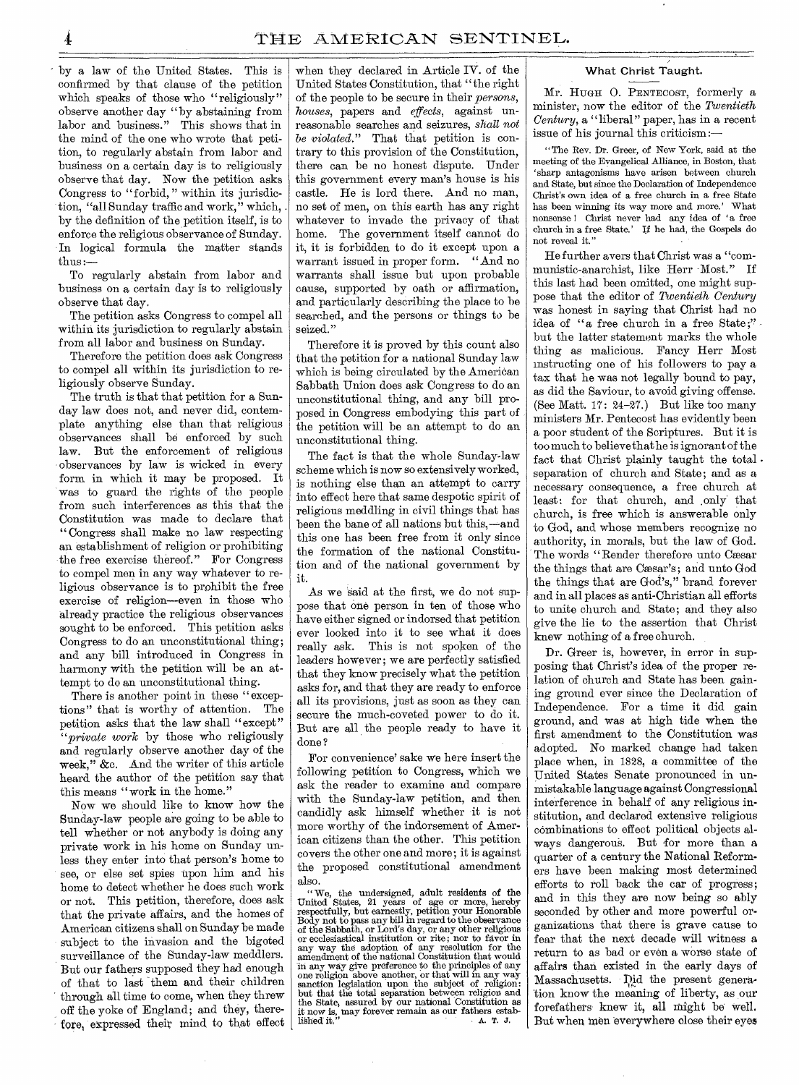by a law of the United States. This is confirmed by that clause of the petition which speaks of those who "religiously" observe another day "by abstaining from labor and business." This shows that in the mind of the one who wrote that petition, to regularly abstain from labor and business on a certain day is to religiously observe that day. Now the petition asks Congress to "forbid," within its jurisdiction, "all Sunday traffic and work," which, by the definition of the petition itself, is to enforce the religious observance of Sunday. In logical formula the matter stands thus :—

To regularly abstain from labor and business on a certain day is to religiously observe that day.

The petition asks Congress to compel all within its jurisdiction to regularly abstain from all labor and business on Sunday.

Therefore the petition does ask Congress to compel all within its jurisdiction to religiously observe Sunday.

The truth is that that petition for a Sunday law does not, and never did, contemplate anything else than that religious observances shall be enforced by such law. But the enforcement of religious observances by law is wicked in every form in which it may be proposed. It was to guard the rights of the people from such interferences as this that the Constitution was made to declare that "Congress shall make no law respecting an establishment of religion or prohibiting the free exercise thereof." For Congress to compel men in any way whatever to religious observance is to prohibit the free exercise of religion—even in those who already practice the religious observances sought to be enforced. This petition asks Congress to do an unconstitutional thing; and any bill introduced in Congress in harmony with the petition will be an attempt to do an unconstitutional thing.

There is another point in these "exceptions" that is worthy of attention, The petition asks that the law shall "except" *"private work* by those who religiously and regularly observe another day of the week," &c. And the writer of this article heard the author of the petition say that this means "work in the home."

Now we should like to know how the Sunday-law people are going to be able to tell whether or not anybody is doing any private work in his home on Sunday unless they enter into that person's home to see, or else set spies upon him and his home to detect whether he does such work or not. This petition, therefore, does ask that the private affairs, and the homes of American citizens shall on Sunday be made subject to the invasion and the bigoted surveillance of the Sunday-law meddlers. But our fathers supposed they had enough of that to last them and their children through all time to come, when they threw off the yoke of England; and they, therefore, expressed their mind to that effect when they declared in Article IV. of the United States Constitution, that "the right of the people to be secure in their *persons, houses,* papers and *effects,* against unreasonable searches and seizures, *shall not be violated,"* That that petition is contrary to this provision of the Constitution, there can be no honest dispute. Under this government every man's house is his castle. He is lord there. And no man, no set of men, on this earth has any right whatever to invade the privacy of that home. The government itself cannot do it, it is forbidden to do it except upon a warrant issued in proper form. "And no warrants shall issue but upon probable cause, supported by oath or affirmation, and particularly describing the place to be searched, and the persons or things to be seized."

Therefore it is proved by this count also that the petition for a national Sunday law which is being circulated by the American Sabbath Union does ask Congress to do an unconstitutional thing, and any bill proposed in Congress embodying this part of the petition will be an attempt to do an unconstitutional thing.

The fact is that the whole Sunday-law scheme which is now so extensively worked, is nothing else than an attempt to carry into effect here that same despotic spirit of religious meddling in civil things that has been the bane of all nations but this,—and this one has been free from it only since the formation of the national Constitution and of the national government by it.

As we said at the first, we do not suppose that one person in ten of those who have either signed or indorsed that petition ever looked into it to see what it does really ask. This is not spoken of the leaders however; we are perfectly satisfied that they know precisely what the petition asks for, and that they are ready to enforce all its provisions, just as soon as they can secure the much-coveted power to do it. But are all the people ready to have it done?

For convenience' sake we here insert the following petition to Congress, which we ask the reader to examine and compare with the Sunday-law petition, and then candidly ask himself whether it is not more worthy of the indorsement of American citizens than the other. This petition covers the other one and more; it is against the proposed constitutional amendment also.

" We, the undersigned, adult residents of the United States, 21 years of age or more, hereby respectfully, but earnestly, petition your Honorable Body not to pass any bill in regard to the observance<br>of the Sabbath, or Lord's day, or any other religious<br>or ecclesiastical institution or rite; nor to favor in<br>any way the adoption of any resolution for the<br>amendment of in any way give preference to the principles of any<br>one religion above another, or that will in any way<br>sanction legislation upon the subject of religion:<br>but that the total separation between religion and<br>the State, assur it now is, may forever remain as our fathers estab-<br>lished it." <br>A. T. J.

# What Christ Taught.

Mr. HUGH 0. PENTECOST, formerly a minister; now the editor of the *Twentieth Century*, a "liberal" paper, has in a recent issue of his journal this criticism:—

" The Rev. Dr. Greer, of New York, said at the meeting of the Evangelical Alliance, in Boston, that `sharp antagonisms have arisen between church and State, but since the Declaration of Independence Christ's own idea of a free church in a free State has been winning its way more and more.' What nonsense ! Christ never had any idea of 'a free church in a free State.' If he had, the Gospels do not reveal it."

He further avers that Christ was a "communistic-anarchist, like Herr Most." If this last had been omitted, one might suppose that the editor of *Twentieth Century*  was honest in saying that Christ had no idea of "a free church in a free State;" but the latter statement marks the whole thing as malicious. Fancy Herr Most instructing one of his followers to pay a tax that he was not legally bound to pay, as did the Saviour, to avoid giving offense. (See Matt. 17: 24-27.) But like too many ministers Mr. Pentecost has evidently been a poor student of the Scriptures. But it is too much to believe that he is ignorant of the fact that Christ plainly taught the total  $\cdot$ separation of church and State; and as a necessary consequence, a free church at least: for that church, and .only that church, is free which is answerable only to God, and whose members recognize no authority, in morals, but the law of God. The words "Render therefore unto Cæsar the things that are Cæsar's; and unto God the things that are God's," brand forever and in all places as anti-Christian all efforts to unite church and State; and they also give the lie to the assertion that Christ knew nothing of a free church.

Dr. Greer is, however, in error in supposing that Christ's idea of the proper relation of church and State has been gaining ground ever since the Declaration of Independence. For a time it did gain ground, and was at high tide when the first amendment to the Constitution was adopted. No marked change had taken place when, in 1828, a committee of the United States Senate pronounced in unmistakable language against Congressional interference in behalf of any religious institution, and declared extensive religious combinations to effect political objects always dangerous. But for more than a quarter of a century the National Reformers have been making most determined efforts to roll back the car of progress; and in this they are now being so ably seconded by other and more powerful organizations that there is grave cause to fear that the next decade will witness a return to as bad or even a worse state of affairs than existed in the early days of Massachusetts. Did the present generation know the meaning of liberty, as our forefathers knew it, all might be well. But when, men everywhere close their eyes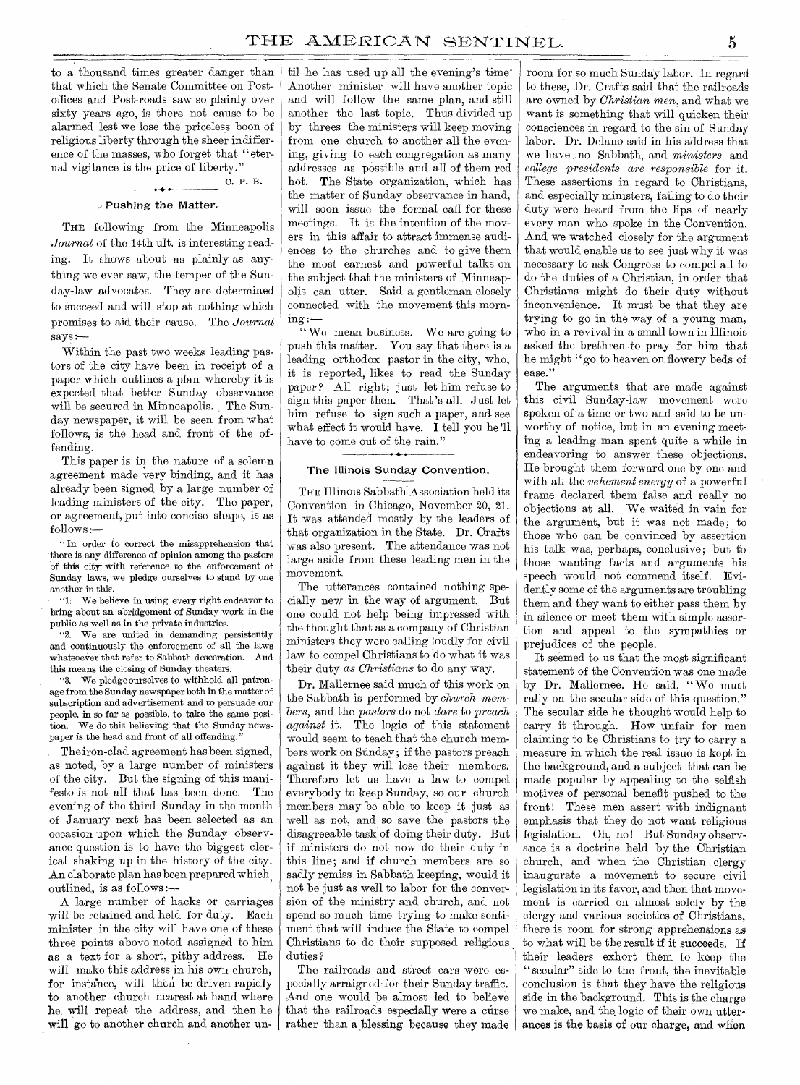to a thousand times greater danger than that which the Senate Committee on Postoffices and Post-roads saw so plainly over sixty years ago, is there not cause to be alarmed lest we lose the priceless boon of religious liberty through the sheer indifference of the masses, who forget that "eternal vigilance is the price of liberty."

## Pushing the Matter.

C. P. B.

THE following from the Minneapolis *Journal* of the 14th ult. is interesting reading. It shows about as plainly as anything we ever saw, the temper of the Sunday-law advocates. They are determined to succeed and will stop at nothing which promises to aid their cause. The *Journal*  says :—

Within the past two weeks leading pastors of the city have been in receipt of a paper which outlines a plan whereby it is expected that better Sunday observance will be secured in Minneapolis. The Sunday newspaper, it will be seen from what follows, is the head and front of the offending.

This paper is in the nature of a solemn agreement made very binding, and it has already been signed by a large number of leading ministers of the city. The paper, or agreement, put into concise shape, is as follows :—

" In order to correct the misapprehension that there is any difference of opinion among the pastors of this city with reference to the enforcement of Sunday laws, we pledge ourselves to stand by one another in this.

"1. We believe in using every right endeavor to bring about an abridgement of Sunday work in the public as well as in the private industries.

"2. We are united in demanding persistently and continuously the enforcement of all the laws whatsoever that refer to Sabbath desecration. And this means the closing of Sunday theaters.

"3. We pledge ourselves to withhold all patronage from the Sunday newspaper both in the matter of subscription and advertisement and to persuade our people, in so far as possible, to take the same position. We do this believing that the Sunday news- $\,$  paper is the head and front of all offending.

The iron-clad agreement has been signed, as noted, by a large number of ministers of the city. But the signing of this manifesto is not all that has been done. The evening of the third Sunday in the month of January next has been selected as an occasion upon which the Sunday observance question is to have the biggest clerical shaking up in the history of the city. An elaborate plan has been prepared which, outlined, is as follows :—

A large number of hacks or carriages will be retained and held for duty. Each minister in the city will have one of these three points above noted assigned to him as a text for a short, pithy address. He will make this address in his own church, for instance, will then be driven rapidly to another church nearest at hand where he, will repeat the address, and then he will go to another church and another un-

til he has used up all the evening's time' Another minister will have another topic and will follow the same plan, and still another the last topic. Thus divided up by threes the ministers will keep moving from one church to another all the evening, giving to each congregation as many addresses as possible and all of them red hot. The State organization, which has the matter of Sunday observance in hand, will soon issue the formal call for these meetings. It is the intention of the movers in this affair to attract immense audiences to the churches and to give them the most earnest and powerful talks on the subject that the ministers of Minneapolis can utter. Said a gentleman closely connected with the movement this morning :—

" We mean business. We are going to push this matter. You say that there is a leading orthodox pastor in the city, who, it is reported, likes to read the Sunday paper? All right; just let him refuse to sign this paper then. That's all. Just let him refuse to sign such a paper, and see what effect it would have. I tell you he'll have to come out of the rain."

#### The Illinois Sunday Convention,

THE Illinois Sabbath Association held its Convention in Chicago, November 20, 21. It was attended mostly by the leaders of that organization in the State. Dr. Crafts was also present. The attendance was not large aside from these leading men in the movement.

The utterances contained nothing specially new in the way of argument. But one could not help being impressed with the thought that as a company of Christian ministers they were calling loudly for civil law to compel Christians to do what it was their duty *as Christians* to do any way.

Dr. Mallernee said much of this work on the Sabbath is performed by *church members,* and the *pastors* do not *dare* to *preach against* it. The logic of this statement would seem to teach that the church members work on Sunday; if the pastors preach against it they will lose their members. Therefore let us have a law to compel everybody to keep Sunday, so our church members may be able to keep it just as well as not, and so save the pastors the disagreeable task of doing their duty. But if ministers do not now do their duty in this line; and if church members are so sadly remiss in Sabbath keeping, would it not be just as well to labor for the conversion of the ministry and church, and not spend so much time trying to make sentiment that will induce the State to compel Christians to do their supposed religious duties ?

The railroads and street cars were especially arraigned- for their Sunday traffic. And one would be almost led to believe that the railroads especially were a curse rather than a blessing because they made

room for so much Sunday labor. In regard to these, Dr. Crafts said that the railroads are owned by *Christian men,* and what we want is something that will quicken their consciences in regard to the sin of Sunday labor. Dr. Delano said in his address that we have ,no Sabbath, and *ministers* and *college presidents are responsible* for it. These assertions in regard to Christians, and especially ministers, failing to do their duty were heard from the lips of nearly every man who spoke in the Convention. And we watched closely for the argument that would enable us to see just why it was necessary to ask Congress to compel all to do the duties of a Christian, in order that Christians might do their duty without inconvenience. It must be that they are trying to go in the way of a young man, who in a revival in a small town in Illinois asked the brethren to pray for him that he might "go to heaven on flowery beds of ease."

The arguments that are made against this civil Sunday-law movement were spoken of a time or two and said to be unworthy of notice, but in an evening meeting a leading man spent quite a while in endeavoring to answer these objections. He brought them forward one by one and with all the *vehement energy* of a powerful frame declared them false and really no objections at all. We waited in vain for the argument, but it was not made; to those who can be convinced by assertion his talk was, perhaps, conclusive; but to those wanting facts and arguments his speech would not commend itself. Evidently some of the arguments are troubling them and they want to either pass them by in silence or meet them with simple assertion and appeal to the sympathies or prejudices of the people.

It seemed to us that the most significant statement of the Convention was one made by Dr. Mallernee. He said, "We must rally on the secular side of this question." The secular side he thought would help to carry it through. How unfair for men claiming to be Christians to try to carry a measure in which the real issue is kept in the background, and a subject that can be made popular by appealing to the selfish motives of personal benefit pushed to the front! These men assert with indignant emphasis that they do not want religious legislation. Oh, no! But Sunday observance is a doctrine held by the Christian church, and when the Christian clergy inaugurate a movement to secure civil legislation in its favor, and then that movement is carried on almost solely by the clergy and various societies of Christians, there is room for strong apprehensions as to what will be the result if it succeeds. If their leaders exhort them to keep the "secular" side to the front, the inevitable conclusion is that they have the religious side in the background. This is the charge we make, and the logic of their own utterances is the basis of our charge, and when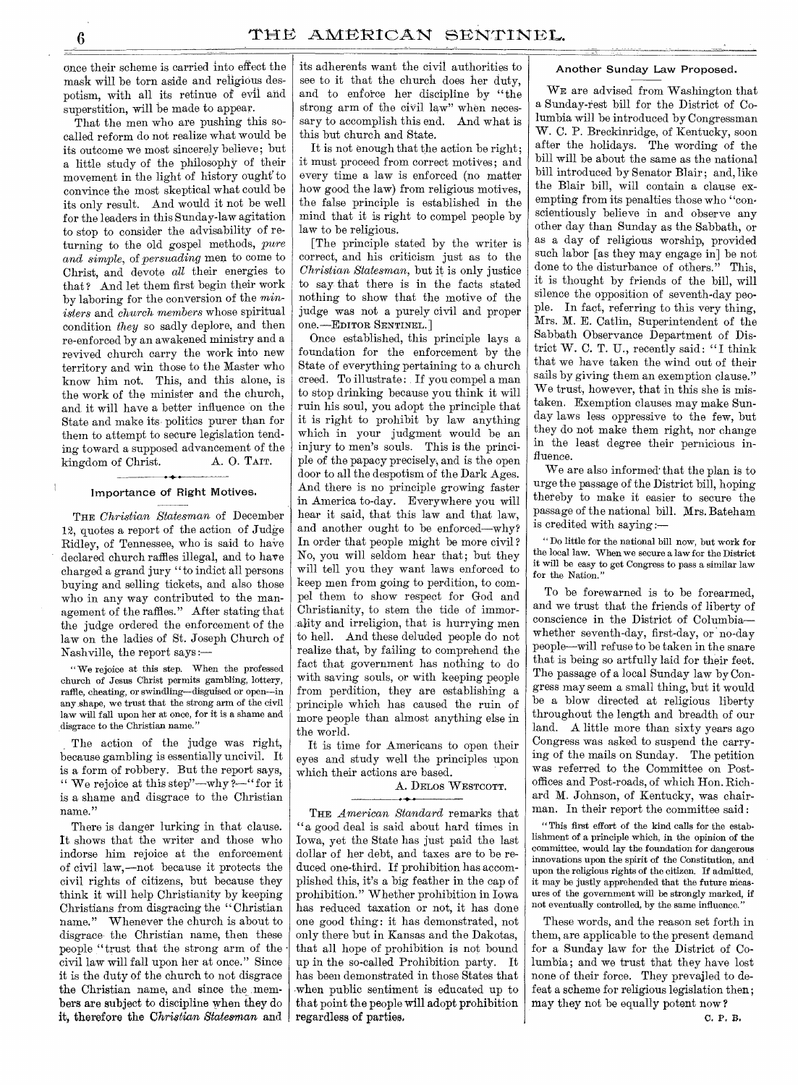once their scheme is carried into effect the mask will be torn aside and religious despotism, with all its retinue of evil and superstition, will be made to appear.

That the men who are pushing this socalled reform do not realize what would be its outcome we most sincerely believe; but a little study of the philosophy of their movement in the light of history ought' to convince the most skeptical what could be its only result. And would it not be well for the leaders in this Sunday-law agitation to stop to consider the advisability of returning to the old gospel methods, *pure and simple,* of *persuading* men to come to Christ, and devote *all* their energies to that? And let them first begin their work by laboring for the conversion of the *ministers* and *church members* whose spiritual condition *they* so sadly deplore, and then re-enforced by an awakened ministry and a revived church carry the work into new territory and win those to the Master who know him not. This, and this alone, is the work of the minister and the church, and it will have a better influence on the State and make its politics purer than for them to attempt to secure legislation tending toward a supposed advancement of the<br>kingdom of Christ.  $\Delta$ . O. TAIT. kingdom of Christ.

### Importance of Right Motives.

THE *Christian Statesman* of December 12, quotes a report of the action of Judge Ridley, of Tennessee, who is said to have declared church raffles illegal, and to have charged a grand jury "to indict all persons buying and selling tickets, and also those who in any way contributed to the management of the raffles." After stating that the judge ordered the enforcement of the law on the ladies of St. Joseph Church of Nashville, the report says :—

" We rejoice at this step. When the professed church of Jesus Christ permits gambling, lottery, raffle, cheating, or swindling—disguised or open—in any shape, we trust that the strong arm of the civil law will fall upon her at once, for it is a shame and disgrace to the Christian name."

The action of the judge was right, because gambling is essentially uncivil. It is a form of robbery. But the report says, " We rejoice at this step"—why ?- "for it is a shame and disgrace to the Christian name."

There is danger lurking in that clause. It shows that the writer and those who indorse him rejoice at the enforcement of civil law,—not because it protects the civil rights of citizens, but because they think it will help Christianity by keeping Christians from disgracing the " Christian name." Whenever the church is about to disgrace the Christian name, then these people "trust that the strong arm of the • civil law will fall upon her at once." Since it is the duty of the church to not disgrace the Christian name, and since the members are subject to discipline when they do it, therefore the *Christian Statesman* and its adherents want the civil authorities to see to it that the church does her duty, and to enforce her discipline by "the strong arm of the civil law" when necessary to accomplish this end. And what is this but church and State.

It is not enough that the action be right; it must proceed from correct motives; and every time a law is enforced (no matter how good the law) from religious motives, the false principle is established in the mind that it is right to compel people by law to be religious.

[The principle stated by the writer is correct, and his criticism just as to the *Christian Statesman,* but it is only justice to say that there is in the facts stated nothing to show that the motive of the judge was not a purely civil and proper one.—EDITOR SENTINEL.]

Once established, this principle lays a foundation for the enforcement by the State of everything pertaining to a church creed. To illustrate : If you compel a man to stop drinking because you think it will ruin his soul, you adopt the principle that it is right to prohibit by law anything which in your judgment would be an injury to men's souls. This is the principle of the papacy precisely, and is the open door to all the despotism of the Dark Ages. And there is no principle growing faster in America to-day. Everywhere you will hear it said, that this law and that law, and another ought to be enforced—why? In order that people might be more civil ? No, you will seldom hear that; but they will tell you they want laws enforced to keep men from going to perdition, to compel them to show respect for God and Christianity, to stem the tide of immorality and irreligion, that is hurrying men to hell. And these deluded people do not realize that, by failing to comprehend the fact that government has nothing to do with saving souls, or with keeping people from perdition, they are establishing a principle which has caused the ruin of more people than almost anything else in the world.

It is time for Americans to open their eyes and study well the principles upon which their actions are based.

# A. DELOS WESTCOTT.

THE *American Standard* remarks that "a good deal is said about hard times in Iowa, yet the State has just paid the last dollar of her debt, and taxes are to be reduced one-third. If prohibition has accomplished this, it's a big feather in the cap of prohibition." Whether prohibition in Iowa has reduced taxation or not, it has done one good thing : it has demonstrated, not only there but in Kansas and the Dakotas, that all hope of prohibition is not bound up in the so-called Prohibition party. It has been demonstrated in those States that when public sentiment is educated up to that point the people will adopt prohibition regardless of parties,

#### Another Sunday Law Proposed.

WE are advised from Washington that a Sunday-rest bill for the District of Columbia will be introduced by Congressman W. C. P. Breckinridge, of Kentucky, soon after the holidays. The wording of the bill will be about the same as the national bill introduced by Senator Blair; and, like the Blair bill, will contain a clause exempting from its penalties those who "conscientiously believe in and observe any other day than Sunday as the Sabbath, or as a day of religious worship, provided such labor [as they may engage in] be not done to the disturbance of others." This, it is thought by friends of the bill, will silence the opposition of seventh-day people. In fact, referring to this very thing, Mrs. M. E. Catlin, Superintendent of the Sabbath Observance Department of District W. C. T. U., recently said: "I think that we have taken the wind out of their sails by giving them an exemption clause." We trust, however, that in this she is mistaken. Exemption clauses may make Sunday laws less oppressive to the few, but they do not make them right, nor change in the least degree their pernicious influence.

We are also informed' that the plan is to urge the passage of the District bill, hoping thereby to make it easier to secure the passage of the national bill. Mrs. Bateham is credited with saying :—

" Do little for the national bill now, but work for the local law. When we secure a law for the District it will be easy to get Congress to pass a similar law for the Nation."

To be forewarned is to be forearmed, and we trust that the friends of liberty of conscience in the District of Columbia whether seventh-day, first-day, or no-day people—will refuse to be taken in the snare that is being so artfully laid for their feet. The passage of a local Sunday law by Congress may seem a small thing, but it would be a blow directed at religious liberty throughout the length and breadth of our land. A little more than sixty years ago Congress was asked to suspend the carrying of the mails on Sunday. The petition was referred to the Committee on Postoffices and Post-roads, of which Hon. Richard M. Johnson, of Kentucky, was chairman. In their report the committee said :

" This first effort of the kind calls for the establishment of a principle which, in the opinion of the committee, would lay the foundation for dangerous innovations upon the spirit of the Constitution, and upon the religious rights of the citizen. If admitted, it may be justly apprehended that the future measures of the government will be strongly marked, if not eventually controlled, by the same influence.'

These words, and the reason set forth in them, are applicable to the present demand for a Sunday law for the District of Columbia; and we trust that they have lost none of their force. They prevailed to defeat a scheme for religious legislation then; may they not be equally potent now ?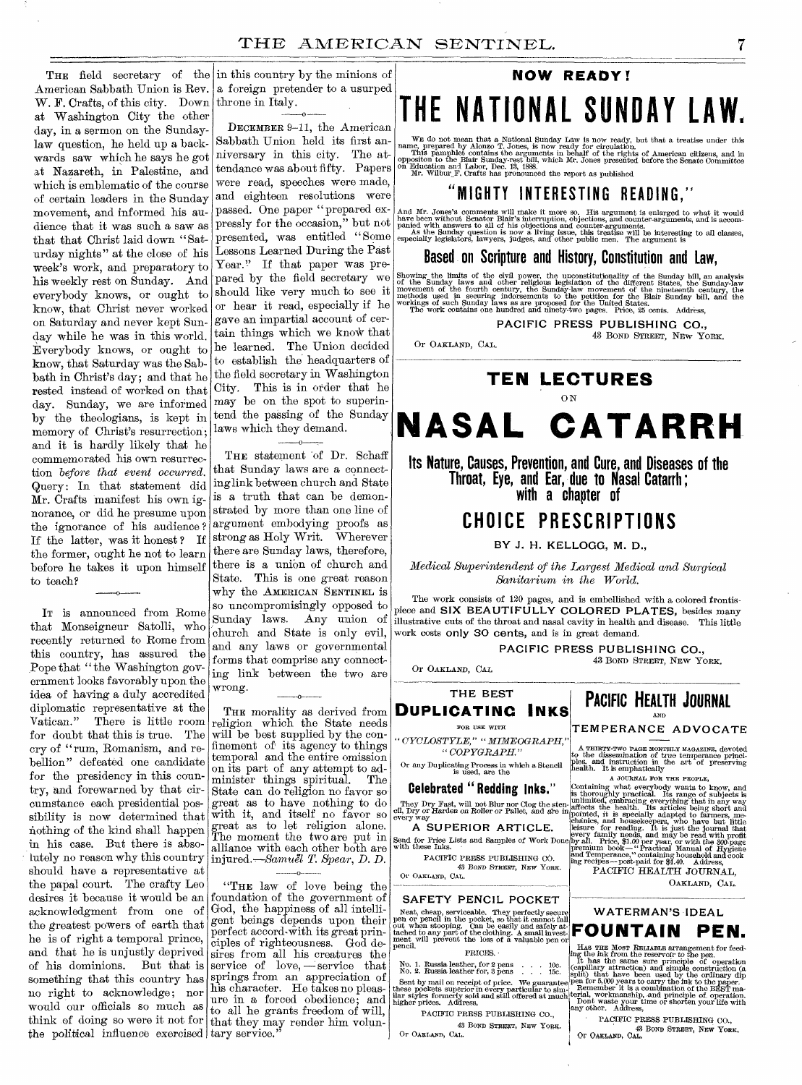THE field secretary of the in this country by the minions of W. F. Crafts, of this city. Down at Washington City the other day, in a sermon on the Sundaylaw question, he held up a backwards saw which he says he got at Nazareth, in Palestine, and which is emblematic of the course of certain leaders in the Sunday movement, and informed his audience that it was such a saw as that that Christ laid down "Saturday nights" at the close of his week's work, and preparatory to his weekly rest on Sunday. And pared by the field secretary we everybody knows, or ought to know, that Christ never worked on Saturday and never kept Sunday while he was in this world. Everybody knows, or ought to know, that Saturday was the Sabbath in Christ's day; and that he rested instead of worked on that day. Sunday, we are informed by the theologians, is kept in memory of Christ's resurrection; and it is hardly likely that he commemorated his own resurrection *before that event occurred.*  Query: In that statement did Mr. Crafts manifest his own ignorance, or did he presume upon the ignorance of his audience ? If the latter, was it honest ? If the former, ought he not to learn before he takes it upon himself to teach?

IT is announced from Rome that Monseigneur Satolli, who recently returned to Rome from this country, has assured the Pope that "the Washington government looks favorably upon the idea of having a duly accredited diplomatic representative at the<br>Vatican." There is little room There is little room. for doubt that this is true. The cry of "rum, Romanism, and rebellion" defeated one candidate for the presidency in this country, and forewarned by that circumstance each presidential possibility is now determined that nothing of the kind shall happen in his case. But there is absolutely no reason why this country should have a representative at the papal court. The crafty Leo desires it because it would be an acknowledgment from one of the greatest powers of earth that he is of right a temporal prince, and that he is unjustly deprived of his dominions. But that is something that this country has no right to acknowledge; nor would our officials so much as think of doing so were it not for the political influence exercised tary service."

 $\mathbf{o}$ 

American Sabbath Union is Rev. a foreign pretender to a usurped throne in Italy.

> DECEMBER 9-11, the American Sabbath Union held its first anniversary in this city. The attendance was about fifty. Papers were read, speeches were made, and eighteen resolutions were passed. One paper "prepared expressly for the occasion," but not presented, was entitled " Some Lessons Learned During the Past Year." If that paper was preshould like very much to see it or hear it read, especially if he gave an impartial account of certain things which we know that he learned. The Union decided to establish the headquarters of the field secretary in Washington City. This is in order that he may be on the spot to superintend the passing of the Sunday laws which they demand.

THE statement of Dr. Schaff that Sunday laws are a connecting link between church and State is a truth that can be demonstrated by more than one line of argument embodying proofs as strong as Holy Writ. Wherever there are Sunday laws, therefore, there is a union of church and State. This is one great reason why the AMERICAN SENTINEL is so uncompromisingly opposed to church and State is only evil, and any laws or governmental forms that comprise any connecting link between the two are wrong.

0

THE morality as derived from religion which the State needs will be best supplied by the confinement of its agency to things temporal and the entire omission on its part of any attempt to administer things spiritual. The State can do religion no favor so great as to have nothing to do with it, and itself no favor so great as to let religion alone. The moment the two are put in alliance with each other both are injured.—Samuel *T. Spear,* D. D.

0

"THE law of love being the foundation of the government of God, the happiness of all intelligent beings depends upon their perfect accord-with its great principles of righteousness. God desires from all his creatures the service of  $love, -\text{service that}$ springs from an appreciation of his character. He takes no pleasure in a forced obedience; and to all he grants freedom of will, that they may render him volun-

# **NOW READY!**

# **THE NATIONAL SUNDAY LAW.**

WE do not mean that a National Sunday Law is now ready, but that a treatise under this name, prepared by Alonzo T. Jones, is now ready for circulation.<br>This pamphlet contains the arguments in behalf of the rights of Ameri

**MIGHTY INTERESTING READING.** 

And Mr. Jones's comments will make it more so. His argument is enlarged to what it would<br>have been without Senator Blair's interruption, objections, and counter-arguments, and is accom-<br>panied with answers to all of his ob

# **Based on Scripture and History, Constitution and Law,**

Showing the limits of the civil power, the unconstitutionality of the Sunday bill, an analysis of the Sunday laws and other religious legislation of the different States, the Sunday-law movement of the nineteenth century,

**PACIFIC PRESS PUBLISHING CO.,**  43 BOND STREET, NEW YORK.

Or OAKLAND, CAL.

# **TEN LECTURES**  ON **NASAL CATARRH**

**Its Nature, Causes, Prevention, and Cure, and Diseases of the Throat, Eye, and Ear, due to Nasal Catarrh ; with a chapter of** 

# **CHOICE PRESCRIPTIONS**

**BY J. H. KELLOGG, M. D.,** 

*Medical Superintendent of the Largest Medical and Surgical Sanitarium in the World.* 

The work consists of 120 pages, and is embellished with a colored frontispiece and **SIX BEAUTIFULLY COLORED PLATES,** besides many Sunday laws. Any union of  $\left| \begin{array}{lllllllllll} \text{if the case and SIX BEA<sub>UIP UELI UULORED FLAIES, is also many times.} \end{array} \right|</sub>$ </sub> work costs only 30 cents, and is in great demand.

**PACIFIC PRESS PUBLISHING CO.,** 

Or OAKLAND, CAL

**THE BEST**  DUPLICATING INKS

FOR USE WITH *" CYCLOSTYLE," "MIMEOGRAPH," " COPYGRAPH."* 

Or any Duplicating Process in which a Stencil is used, are the

**Celebrated " Redding Inks."** 

They Dry Fast, will not Blur nor Clog the sten-<br>cil, Dry or Harden on Roller or Pallet, and are in<br>every way

**A SUPERIOR ARTICLE.**  Send for Price Lists and Samples of Work Done with these Inks.

PACIFIC PRESS PUBLISHING CO. 43 BOND STREET, NEW YORK. Or OAKLAND, CAL.

**SAFETY PENCIL POCKET** 

Neat, cheap, serviceable. They perfectly secure<br>pen or pencil in the pocket, so that it cannot fall<br>out when stooping. Can be easily and safely at<br>tached to any part of the clothing. A small invest-<br>ment, will prevent the

pencil. PRICES.

No. 1. Russia leather, for 2 pens . . . 10c. No. 2. Russia leather for, 3 pens . . . 15c.

Sent by mail on receipt of price. We guarantee these pockets superior in every particular to sim-ilar styles formerly sold and still offered at much higher prices. Address,

PACIFIC PRESS PUBLISHING CO., 43 BONA STREET, NEW YORE.

Or OAKLAND, CAL.

**PACIFIC HEALTH JOURNAL**  AND

43 BOND STREET, NEW YORK.

# **TEMPERANCE ADVOCATE**

A THIRTY-TWO PAGE MONTHLY MAGAZINE, devoted to the dissemination of true temperance principles. and instruction in the art of preserving health. It is emphatically

A JOURNAL FOR THE PROPLE,<br>Containing what everybody wants to know, and<br>is thoroughly practical. Its range of subjects is<br>unlimited, embracing everything that in any way<br>affects the health. Its articles being short and<br>poi

PACIFIC HEALTH JOURNAL. OAKLAND, CAL.



Has The Most Rentance arrangement for feed-<br>ing the first many does not be the period of copillary attraction) and simple construction<br>(capillary attraction) and simple construction (a)<br>split) that have been used by the or

PACIFIC PRESS PUBLISHING CO., 43 BOND STREET, NEW YORK,<br>Or Oakland, Cal.